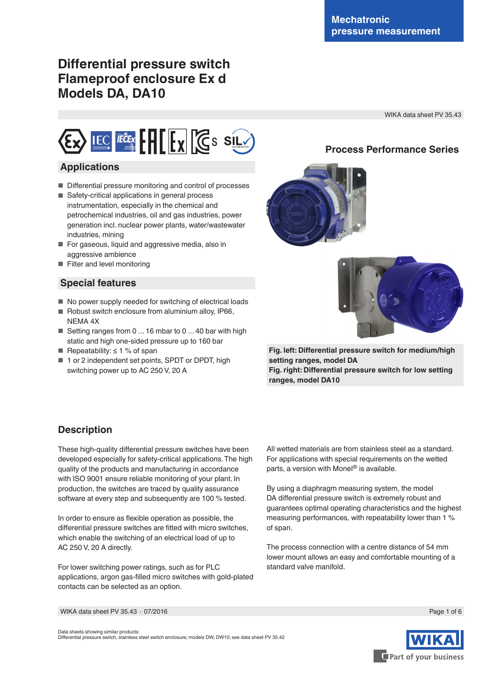**Process Performance Series**

# **Differential pressure switch Flameproof enclosure Ex d Models DA, DA10**

WIKA data sheet PV 35.43



### **Applications**

- Differential pressure monitoring and control of processes
- Safety-critical applications in general process instrumentation, especially in the chemical and petrochemical industries, oil and gas industries, power generation incl. nuclear power plants, water/wastewater industries, mining
- For gaseous, liquid and aggressive media, also in aggressive ambience
- Filter and level monitoring

### **Special features**

- No power supply needed for switching of electrical loads
- Robust switch enclosure from aluminium alloy, IP66, NEMA 4X
- Setting ranges from 0 ... 16 mbar to 0 ... 40 bar with high static and high one-sided pressure up to 160 bar
- Repeatability:  $\leq 1$  % of span
- 1 or 2 independent set points, SPDT or DPDT, high switching power up to AC 250 V, 20 A





**Fig. left: Differential pressure switch for medium/high setting ranges, model DA Fig. right: Differential pressure switch for low setting ranges, model DA10**

## **Description**

These high-quality differential pressure switches have been developed especially for safety-critical applications. The high quality of the products and manufacturing in accordance with ISO 9001 ensure reliable monitoring of your plant. In production, the switches are traced by quality assurance software at every step and subsequently are 100 % tested.

In order to ensure as flexible operation as possible, the differential pressure switches are fitted with micro switches, which enable the switching of an electrical load of up to AC 250 V, 20 A directly.

For lower switching power ratings, such as for PLC applications, argon gas-filled micro switches with gold-plated contacts can be selected as an option.

All wetted materials are from stainless steel as a standard. For applications with special requirements on the wetted parts, a version with Monel $\mathcal O$  is available.

By using a diaphragm measuring system, the model DA differential pressure switch is extremely robust and guarantees optimal operating characteristics and the highest measuring performances, with repeatability lower than 1 % of span.

The process connection with a centre distance of 54 mm lower mount allows an easy and comfortable mounting of a standard valve manifold.

WIKA data sheet PV 35.43 ∙ 07/2016

Data sheets showing similar products: Differential pressure switch, stainless steel switch enclosure; models DW, DW10; see data sheet PV 35.42



Page 1 of 6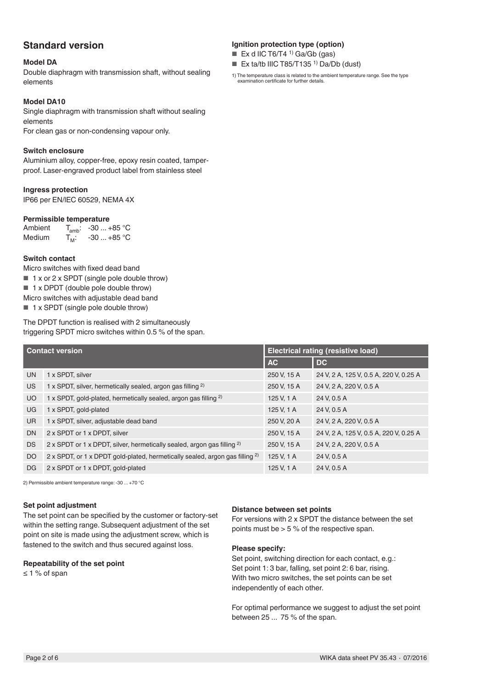## **Standard version**

#### **Model DA**

Double diaphragm with transmission shaft, without sealing elements

#### **Model DA10**

Single diaphragm with transmission shaft without sealing elements For clean gas or non-condensing vapour only.

#### **Switch enclosure**

Aluminium alloy, copper-free, epoxy resin coated, tamperproof. Laser-engraved product label from stainless steel

#### **Ingress protection**

IP66 per EN/lEC 60529, NEMA 4X

#### **Permissible temperature**

| Ambient       |         | $T_{amb}$ : -30  +85 °C |
|---------------|---------|-------------------------|
| <b>Medium</b> | $T_M$ : | $-30+85$ °C             |

#### **Switch contact**

Micro switches with fixed dead band ■ 1 x or 2 x SPDT (single pole double throw) ■ 1 x DPDT (double pole double throw) Micro switches with adjustable dead band ■ 1 x SPDT (single pole double throw)

The DPDT function is realised with 2 simultaneously triggering SPDT micro switches within 0.5 % of the span.

| <b>Contact version</b> |                                                                                         | <b>Electrical rating (resistive load)</b> |                                        |  |
|------------------------|-----------------------------------------------------------------------------------------|-------------------------------------------|----------------------------------------|--|
|                        |                                                                                         | <b>AC</b>                                 | <b>DC</b>                              |  |
| <b>UN</b>              | 1 x SPDT, silver                                                                        | 250 V, 15 A                               | 24 V, 2 A, 125 V, 0.5 A, 220 V, 0.25 A |  |
| <b>US</b>              | 1 x SPDT, silver, hermetically sealed, argon gas filling <sup>2)</sup>                  | 250 V, 15 A                               | 24 V, 2 A, 220 V, 0.5 A                |  |
| <b>UO</b>              | 1 x SPDT, gold-plated, hermetically sealed, argon gas filling <sup>2)</sup>             | 125 V, 1 A                                | 24 V, 0.5 A                            |  |
| UG                     | 1 x SPDT, gold-plated                                                                   | 125 V, 1 A                                | 24 V, 0.5 A                            |  |
| UR.                    | 1 x SPDT, silver, adjustable dead band                                                  | 250 V, 20 A                               | 24 V, 2 A, 220 V, 0.5 A                |  |
| <b>DN</b>              | 2 x SPDT or 1 x DPDT, silver                                                            | 250 V, 15 A                               | 24 V, 2 A, 125 V, 0.5 A, 220 V, 0.25 A |  |
| <b>DS</b>              | 2 x SPDT or 1 x DPDT, silver, hermetically sealed, argon gas filling <sup>2)</sup>      | 250 V, 15 A                               | 24 V, 2 A, 220 V, 0.5 A                |  |
| DO                     | 2 x SPDT, or 1 x DPDT gold-plated, hermetically sealed, argon gas filling <sup>2)</sup> | 125 V, 1 A                                | 24 V, 0.5 A                            |  |
| <b>DG</b>              | 2 x SPDT or 1 x DPDT, gold-plated                                                       | 125 V, 1 A                                | 24 V. 0.5 A                            |  |

2) Permissible ambient temperature range: -30 ... +70 °C

#### **Set point adjustment**

The set point can be specified by the customer or factory-set within the setting range. Subsequent adjustment of the set point on site is made using the adjustment screw, which is fastened to the switch and thus secured against loss.

#### **Repeatability of the set point**

≤ 1 % of span

#### **Distance between set points**

For versions with 2 x SPDT the distance between the set points must be  $> 5 %$  of the respective span.

#### **Please specify:**

Set point, switching direction for each contact, e.g.: Set point 1: 3 bar, falling, set point 2: 6 bar, rising. With two micro switches, the set points can be set independently of each other.

For optimal performance we suggest to adjust the set point between 25 ... 75 % of the span.

#### **Ignition protection type (option)**

- Ex d IIC T6/T4 <sup>1)</sup> Ga/Gb (gas)
- Ex ta/tb IIIC T85/T135<sup>1</sup> Da/Db (dust)
- 1) The temperature class is related to the ambient temperature range. See the type examination certificate for further details.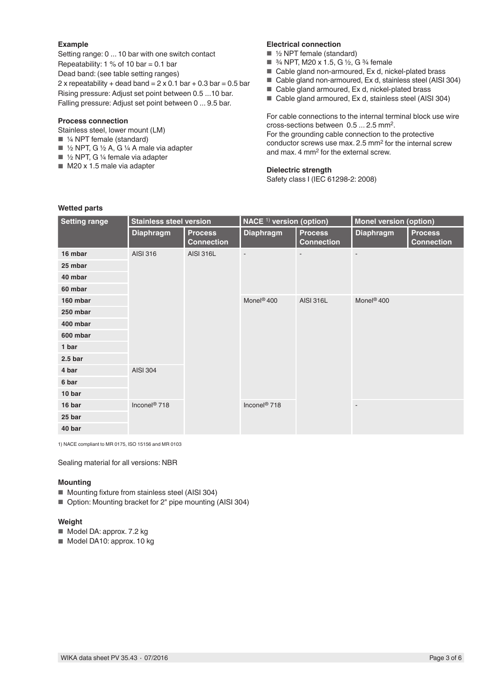#### **Example**

Setting range: 0 ... 10 bar with one switch contact Repeatability:  $1\%$  of 10 bar = 0.1 bar Dead band: (see table setting ranges) 2 x repeatability + dead band =  $2 \times 0.1$  bar + 0.3 bar = 0.5 bar Rising pressure: Adjust set point between 0.5 ...10 bar. Falling pressure: Adjust set point between 0 ... 9.5 bar.

#### **Process connection**

Stainless steel, lower mount (LM)

- ¼ NPT female (standard)
- ½ NPT, G ½ A, G ¼ A male via adapter
- ½ NPT, G ¼ female via adapter
- $\blacksquare$  M20 x 1.5 male via adapter

#### **Electrical connection**

- $\blacksquare$  1/2 NPT female (standard)
- 3⁄4 NPT, M20 x 1.5, G 1⁄2, G 3⁄4 female
- Cable gland non-armoured, Ex d, nickel-plated brass
- Cable gland non-armoured, Ex d, stainless steel (AISI 304)
- Cable gland armoured, Ex d, nickel-plated brass
- Cable gland armoured, Ex d, stainless steel (AISI 304)

For cable connections to the internal terminal block use wire cross-sections between 0.5 ... 2.5 mm2. For the grounding cable connection to the protective conductor screws use max. 2.5 mm2 for the internal screw and max. 4 mm2 for the external screw.

#### **Dielectric strength**

Safety class I (IEC 61298-2: 2008)

| <b>Setting range</b> | <b>Stainless steel version</b> |                                     | $NACE1$ version (option) |                                     | <b>Monel version (option)</b> |                                     |
|----------------------|--------------------------------|-------------------------------------|--------------------------|-------------------------------------|-------------------------------|-------------------------------------|
|                      | <b>Diaphragm</b>               | <b>Process</b><br><b>Connection</b> | <b>Diaphragm</b>         | <b>Process</b><br><b>Connection</b> | <b>Diaphragm</b>              | <b>Process</b><br><b>Connection</b> |
| 16 mbar              | AISI 316                       | <b>AISI 316L</b>                    | ÷,                       |                                     |                               |                                     |
| 25 mbar              |                                |                                     |                          |                                     |                               |                                     |
| 40 mbar              |                                |                                     |                          |                                     |                               |                                     |
| 60 mbar              |                                |                                     |                          |                                     |                               |                                     |
| 160 mbar             |                                |                                     | Monel <sup>®</sup> 400   | <b>AISI 316L</b>                    | Monel <sup>®</sup> 400        |                                     |
| 250 mbar             | <b>AISI 304</b>                |                                     |                          |                                     |                               |                                     |
| 400 mbar             |                                |                                     |                          |                                     |                               |                                     |
| 600 mbar             |                                |                                     |                          |                                     |                               |                                     |
| 1 bar                |                                |                                     |                          |                                     |                               |                                     |
| 2.5 <sub>b</sub>     |                                |                                     |                          |                                     |                               |                                     |
| 4 bar                |                                |                                     |                          |                                     |                               |                                     |
| 6 bar                |                                |                                     |                          |                                     |                               |                                     |
| 10 bar               |                                |                                     |                          |                                     |                               |                                     |
| 16 bar               | Inconel <sup>®</sup> 718       |                                     | Inconel <sup>®</sup> 718 |                                     |                               |                                     |
| 25 bar               |                                |                                     |                          |                                     |                               |                                     |
| 40 bar               |                                |                                     |                          |                                     |                               |                                     |

1) NACE compliant to MR 0175, ISO 15156 and MR 0103

Sealing material for all versions: NBR

#### **Mounting**

- Mounting fixture from stainless steel (AISI 304)
- Option: Mounting bracket for 2" pipe mounting (AISI 304)

#### **Weight**

- Model DA: approx. 7.2 kg
- Model DA10: approx. 10 kg

#### **Wetted parts**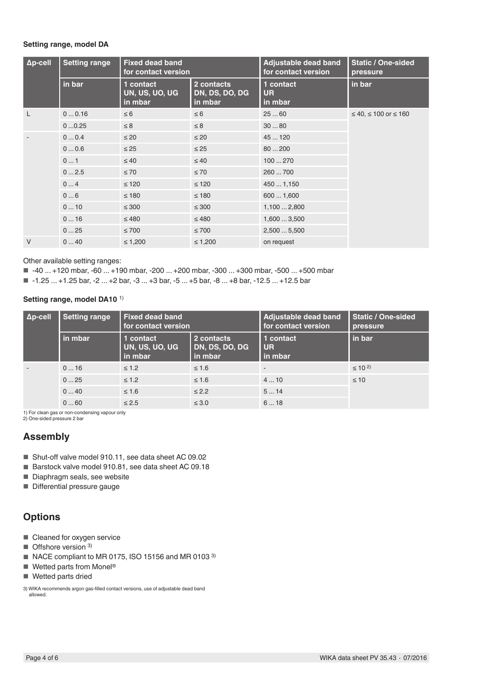#### **Setting range, model DA**

| $\Delta p$ -cell | <b>Setting range</b> | <b>Fixed dead band</b><br>for contact version |                                         | Adjustable dead band<br>for contact version | <b>Static / One-sided</b><br>pressure |
|------------------|----------------------|-----------------------------------------------|-----------------------------------------|---------------------------------------------|---------------------------------------|
|                  | in bar               | 1 contact<br>UN, US, UO, UG<br>in mbar        | 2 contacts<br>DN, DS, DO, DG<br>in mbar | 1 contact<br><b>UR</b><br>in mbar           | in bar                                |
|                  | 00.16                | $\leq 6$                                      | $\leq 6$                                | 2560                                        | $≤ 40, ≤ 100$ or $≤ 160$              |
|                  | 00.25                | $\leq 8$                                      | $\leq 8$                                | 3080                                        |                                       |
|                  | 00.4                 | $\leq 20$                                     | $\leq 20$                               | 45  120                                     |                                       |
|                  | 00.6                 | $\leq 25$                                     | $\leq 25$                               | 80200                                       |                                       |
|                  | 01                   | $\leq 40$                                     | $\leq 40$                               | 100270                                      |                                       |
|                  | 02.5                 | $\leq 70$                                     | $\leq 70$                               | 260  700                                    |                                       |
|                  | 04                   | $\leq 120$                                    | $\leq 120$                              | 4501,150                                    |                                       |
|                  | 06                   | $\leq 180$                                    | $\leq 180$                              | 6001,600                                    |                                       |
|                  | 010                  | $\leq 300$                                    | $\leq 300$                              | 1,1002,800                                  |                                       |
|                  | 016                  | $\leq 480$                                    | $\leq 480$                              | 1,6003,500                                  |                                       |
|                  | 025                  | $\leq 700$                                    | $\leq 700$                              | 2,5005,500                                  |                                       |
| $\vee$           | 040                  | $\leq 1,200$                                  | $\leq 1,200$                            | on request                                  |                                       |

Other available setting ranges:

■ -40 ... +120 mbar, -60 ... +190 mbar, -200 ... +200 mbar, -300 ... +300 mbar, -500 ... +500 mbar

■ -1.25 ... +1.25 bar, -2 ... +2 bar, -3 ... +3 bar, -5 ... +5 bar, -8 ... +8 bar, -12.5 ... +12.5 bar

**Setting range, model DA10** 1)

| $\Delta p$ -cell | <b>Setting range</b>                                   | <b>Fixed dead band</b><br>for contact version |                                         | Adjustable dead band<br>for contact version | <b>Static / One-sided</b><br>pressure |
|------------------|--------------------------------------------------------|-----------------------------------------------|-----------------------------------------|---------------------------------------------|---------------------------------------|
|                  | in mbar                                                | 1 contact<br>UN, US, UO, UG<br>in mbar        | 2 contacts<br>DN, DS, DO, DG<br>in mbar | 1 contact<br><b>UR</b><br>in mbar           | in bar                                |
|                  | 016                                                    | $\leq 1.2$                                    | $\leq 1.6$                              | $\overline{\phantom{a}}$                    | $\leq$ 10 <sup>2)</sup>               |
|                  | 025                                                    | $\leq 1.2$                                    | $\leq 1.6$                              | 410                                         | $\leq 10$                             |
|                  | 040                                                    | $\leq 1.6$                                    | $\leq$ 2.2                              | 514                                         |                                       |
|                  | 060<br>the contract of the contract of the contract of | $\leq 2.5$                                    | $\leq 3.0$                              | 618                                         |                                       |

1) For clean gas or non-condensing vapour only 2) One-sided pressure 2 bar

### **Assembly**

- Shut-off valve model 910.11, see data sheet AC 09.02
- Barstock valve model 910.81, see data sheet AC 09.18
- Diaphragm seals, see website
- Differential pressure gauge

### **Options**

- Cleaned for oxygen service
- Offshore version <sup>3)</sup>
- NACE compliant to MR 0175, ISO 15156 and MR 0103<sup>3)</sup>
- $\blacksquare$  Wetted parts from Monel<sup>®</sup>
- Wetted parts dried

3) WIKA recommends argon gas-filled contact versions, use of adjustable dead band allowed.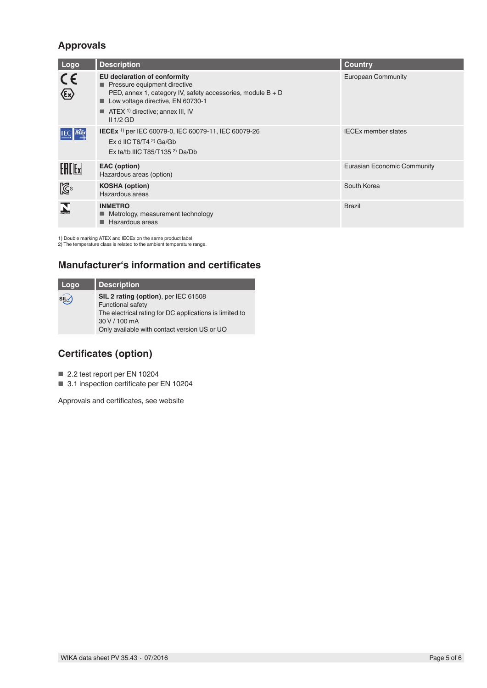## **Approvals**

| Logo                                                                 | <b>Description</b>                                                                                                                                                                                                                                     | <b>Country</b>              |
|----------------------------------------------------------------------|--------------------------------------------------------------------------------------------------------------------------------------------------------------------------------------------------------------------------------------------------------|-----------------------------|
| $c\epsilon$<br>$\langle \overline{\epsilon}\!\!\!\;\!\!\chi \rangle$ | <b>EU declaration of conformity</b><br>Pressure equipment directive<br>PED, annex 1, category IV, safety accessories, module $B + D$<br>Low voltage directive, EN 60730-1<br>$\blacksquare$ ATEX <sup>1)</sup> directive; annex III, IV<br>$II$ 1/2 GD | <b>European Community</b>   |
| <b>IECEX</b>                                                         | IECEx <sup>1)</sup> per IEC 60079-0, IEC 60079-11, IEC 60079-26<br>Ex d IIC T6/T4 $2$ Ga/Gb<br>Ex ta/tb IIIC T85/T135 $2$ ) Da/Db                                                                                                                      | <b>IECEx member states</b>  |
| <b>EACE</b> x                                                        | EAC (option)<br>Hazardous areas (option)                                                                                                                                                                                                               | Eurasian Economic Community |
| $\mathbb{Z}^2$                                                       | <b>KOSHA (option)</b><br>Hazardous areas                                                                                                                                                                                                               | South Korea                 |
| $\sum_{\text{nuerra}}$                                               | <b>INMETRO</b><br>■ Metrology, measurement technology<br>Hazardous areas                                                                                                                                                                               | <b>Brazil</b>               |

1) Double marking ATEX and IECEx on the same product label. 2) The temperature class is related to the ambient temperature range.

## **Manufacturer's information and certificates**

| Logo  | <b>Description</b>                                      |
|-------|---------------------------------------------------------|
| siLv) | SIL 2 rating (option), per IEC 61508                    |
|       | <b>Functional safety</b>                                |
|       | The electrical rating for DC applications is limited to |
|       | 30 V / 100 mA                                           |
|       | Only available with contact version US or UO            |

## **Certificates (option)**

■ 2.2 test report per EN 10204

■ 3.1 inspection certificate per EN 10204

Approvals and certificates, see website